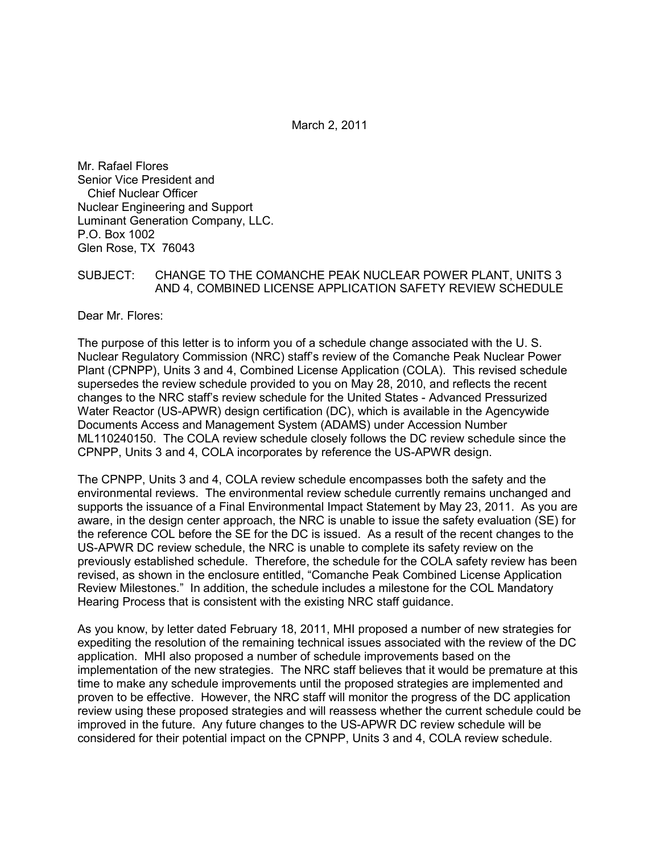March 2, 2011

Mr. Rafael Flores Senior Vice President and Chief Nuclear Officer Nuclear Engineering and Support Luminant Generation Company, LLC. P.O. Box 1002 Glen Rose, TX 76043

# SUBJECT: CHANGE TO THE COMANCHE PEAK NUCLEAR POWER PLANT, UNITS 3 AND 4, COMBINED LICENSE APPLICATION SAFETY REVIEW SCHEDULE

Dear Mr. Flores:

The purpose of this letter is to inform you of a schedule change associated with the U. S. Nuclear Regulatory Commission (NRC) staff's review of the Comanche Peak Nuclear Power Plant (CPNPP), Units 3 and 4, Combined License Application (COLA). This revised schedule supersedes the review schedule provided to you on May 28, 2010, and reflects the recent changes to the NRC staff's review schedule for the United States - Advanced Pressurized Water Reactor (US-APWR) design certification (DC), which is available in the Agencywide Documents Access and Management System (ADAMS) under Accession Number ML110240150. The COLA review schedule closely follows the DC review schedule since the CPNPP, Units 3 and 4, COLA incorporates by reference the US-APWR design.

The CPNPP, Units 3 and 4, COLA review schedule encompasses both the safety and the environmental reviews. The environmental review schedule currently remains unchanged and supports the issuance of a Final Environmental Impact Statement by May 23, 2011. As you are aware, in the design center approach, the NRC is unable to issue the safety evaluation (SE) for the reference COL before the SE for the DC is issued. As a result of the recent changes to the US-APWR DC review schedule, the NRC is unable to complete its safety review on the previously established schedule. Therefore, the schedule for the COLA safety review has been revised, as shown in the enclosure entitled, "Comanche Peak Combined License Application Review Milestones." In addition, the schedule includes a milestone for the COL Mandatory Hearing Process that is consistent with the existing NRC staff guidance.

As you know, by letter dated February 18, 2011, MHI proposed a number of new strategies for expediting the resolution of the remaining technical issues associated with the review of the DC application. MHI also proposed a number of schedule improvements based on the implementation of the new strategies. The NRC staff believes that it would be premature at this time to make any schedule improvements until the proposed strategies are implemented and proven to be effective. However, the NRC staff will monitor the progress of the DC application review using these proposed strategies and will reassess whether the current schedule could be improved in the future. Any future changes to the US-APWR DC review schedule will be considered for their potential impact on the CPNPP, Units 3 and 4, COLA review schedule.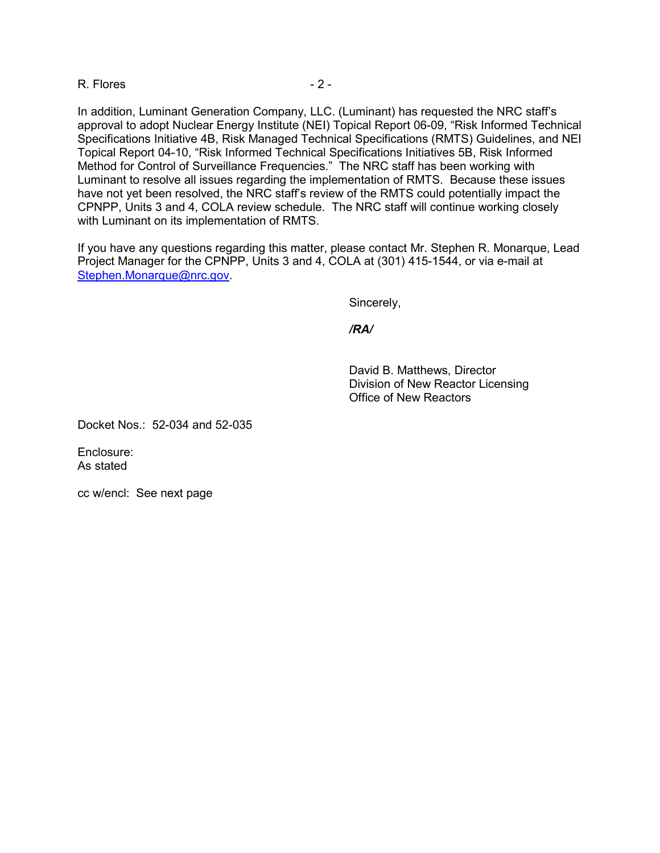## $R.$  Flores  $-2-$

In addition, Luminant Generation Company, LLC. (Luminant) has requested the NRC staff's approval to adopt Nuclear Energy Institute (NEI) Topical Report 06-09, "Risk Informed Technical Specifications Initiative 4B, Risk Managed Technical Specifications (RMTS) Guidelines, and NEI Topical Report 04-10, "Risk Informed Technical Specifications Initiatives 5B, Risk Informed Method for Control of Surveillance Frequencies." The NRC staff has been working with Luminant to resolve all issues regarding the implementation of RMTS. Because these issues have not yet been resolved, the NRC staff's review of the RMTS could potentially impact the CPNPP, Units 3 and 4, COLA review schedule. The NRC staff will continue working closely with Luminant on its implementation of RMTS.

If you have any questions regarding this matter, please contact Mr. Stephen R. Monarque, Lead Project Manager for the CPNPP, Units 3 and 4, COLA at (301) 415-1544, or via e-mail at Stephen.Monarque@nrc.gov.

Sincerely,

 */RA/* 

 David B. Matthews, Director Division of New Reactor Licensing Office of New Reactors

Docket Nos.: 52-034 and 52-035

Enclosure: As stated

cc w/encl: See next page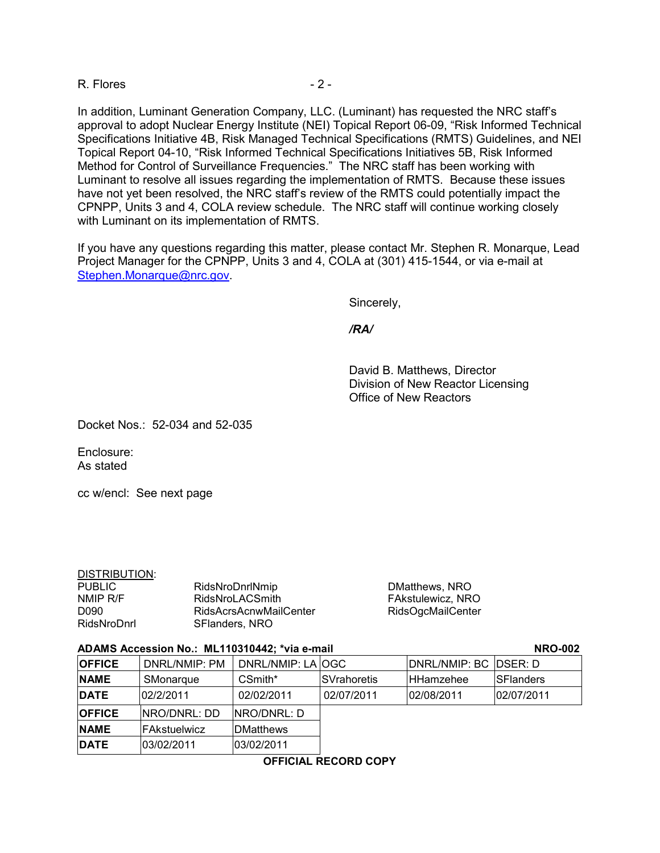### $R.$  Flores  $-2-$

In addition, Luminant Generation Company, LLC. (Luminant) has requested the NRC staff's approval to adopt Nuclear Energy Institute (NEI) Topical Report 06-09, "Risk Informed Technical Specifications Initiative 4B, Risk Managed Technical Specifications (RMTS) Guidelines, and NEI Topical Report 04-10, "Risk Informed Technical Specifications Initiatives 5B, Risk Informed Method for Control of Surveillance Frequencies." The NRC staff has been working with Luminant to resolve all issues regarding the implementation of RMTS. Because these issues have not yet been resolved, the NRC staff's review of the RMTS could potentially impact the CPNPP, Units 3 and 4, COLA review schedule. The NRC staff will continue working closely with Luminant on its implementation of RMTS.

If you have any questions regarding this matter, please contact Mr. Stephen R. Monarque, Lead Project Manager for the CPNPP, Units 3 and 4, COLA at (301) 415-1544, or via e-mail at Stephen.Monarque@nrc.gov.

Sincerely,

 */RA/* 

 David B. Matthews, Director Division of New Reactor Licensing Office of New Reactors

Docket Nos.: 52-034 and 52-035

Enclosure: As stated

cc w/encl: See next page

| DISTRIBUTION: |  |
|---------------|--|
| DUDI IO       |  |

| <b>PUBLIC</b> | <b>RidsNroDnriNmip</b>        | DMatthews, NRO           |
|---------------|-------------------------------|--------------------------|
| NMIP R/F      | RidsNroLACSmith               | FAkstulewicz. NRO        |
| D090          | <b>RidsAcrsAcnwMailCenter</b> | <b>RidsOgcMailCenter</b> |
| RidsNroDnrl   | SFlanders, NRO                |                          |
|               |                               |                          |

**PUBLIC RidsNroDnrlNmip** RidsNroDnrlNmip

#### **ADAMS Accession No.: ML110310442: \*via e-mail**  $\blacksquare$  **NRO-002 <b>NRO-002**

| <b>OFFICE</b> | DNRL/NMIP: PM | DNRL/NMIP: LA OGC |                     | DNRL/NMIP: BC DSER: D |                   |
|---------------|---------------|-------------------|---------------------|-----------------------|-------------------|
| NAME          | SMonarque     | CSmith*           | <b>ISVrahoretis</b> | <b>HHamzehee</b>      | <b>ISFlanders</b> |
| <b>DATE</b>   | 02/2/2011     | 02/02/2011        | 02/07/2011          | 02/08/2011            | 102/07/2011       |
| <b>OFFICE</b> | INRO/DNRL: DD | NRO/DNRL: D       |                     |                       |                   |
| <b>NAME</b>   | IFAkstuelwicz | <b>IDMatthews</b> |                     |                       |                   |
| <b>DATE</b>   | 03/02/2011    | 03/02/2011        |                     |                       |                   |

**OFFICIAL RECORD COPY**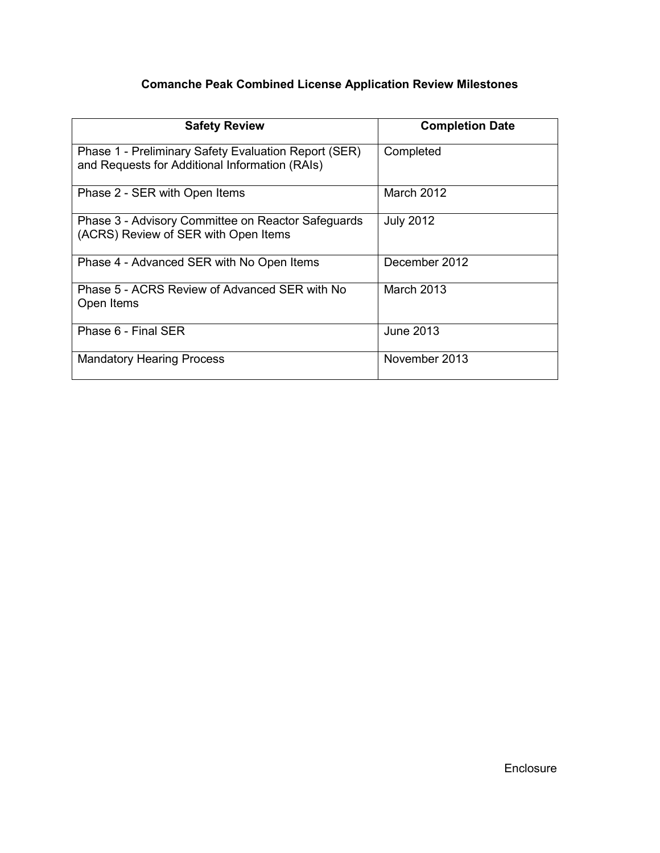# **Comanche Peak Combined License Application Review Milestones**

| <b>Safety Review</b>                                                                                   | <b>Completion Date</b> |
|--------------------------------------------------------------------------------------------------------|------------------------|
| Phase 1 - Preliminary Safety Evaluation Report (SER)<br>and Requests for Additional Information (RAIs) | Completed              |
| Phase 2 - SER with Open Items                                                                          | March 2012             |
| Phase 3 - Advisory Committee on Reactor Safeguards<br>(ACRS) Review of SER with Open Items             | <b>July 2012</b>       |
| Phase 4 - Advanced SER with No Open Items                                                              | December 2012          |
| Phase 5 - ACRS Review of Advanced SER with No<br>Open Items                                            | March 2013             |
| Phase 6 - Final SER                                                                                    | June 2013              |
| <b>Mandatory Hearing Process</b>                                                                       | November 2013          |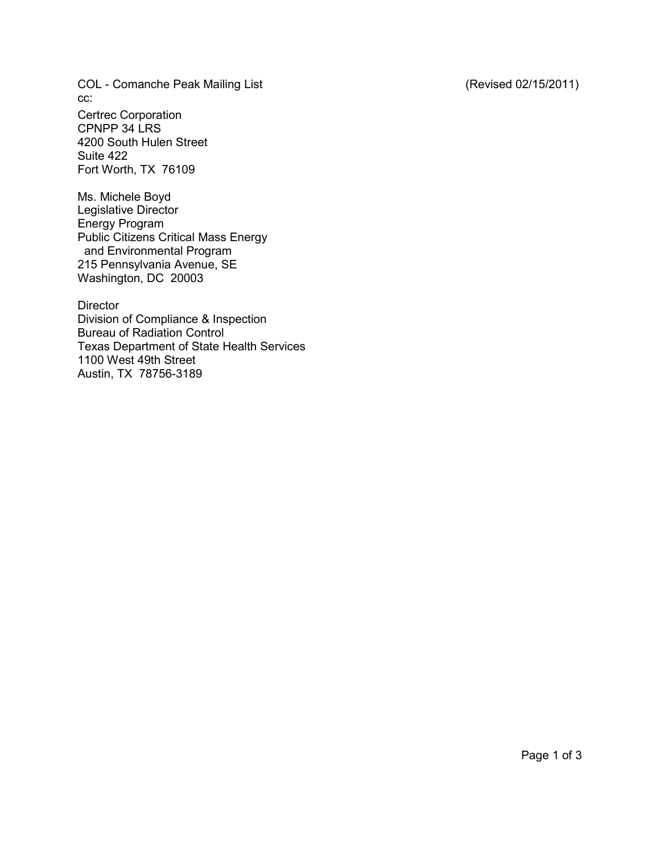COL - Comanche Peak Mailing List (Revised 02/15/2011) cc:

Certrec Corporation CPNPP 34 LRS 4200 South Hulen Street Suite 422 Fort Worth, TX 76109

Ms. Michele Boyd Legislative Director Energy Program Public Citizens Critical Mass Energy and Environmental Program 215 Pennsylvania Avenue, SE Washington, DC 20003

**Director** Division of Compliance & Inspection Bureau of Radiation Control Texas Department of State Health Services 1100 West 49th Street Austin, TX 78756-3189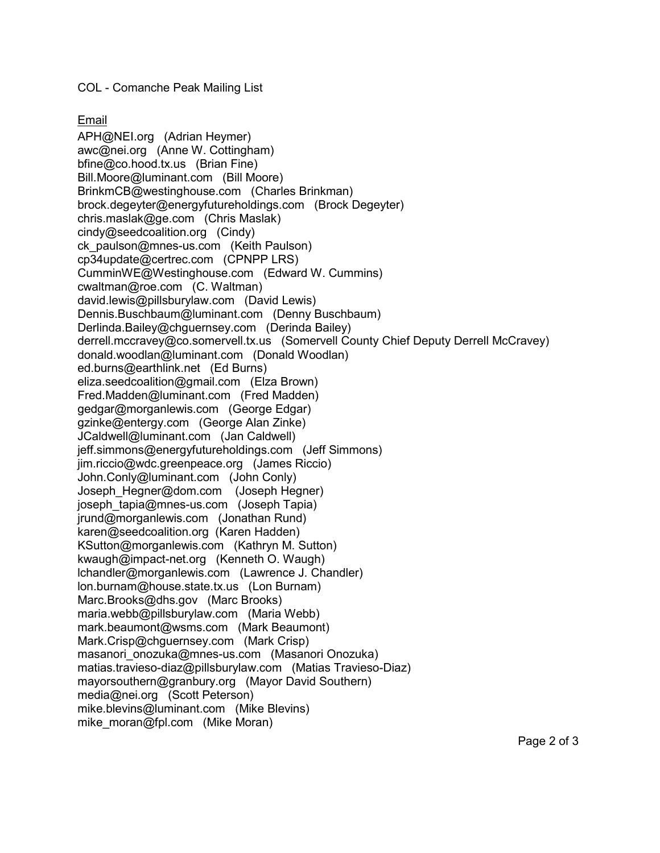COL - Comanche Peak Mailing List

# Email

APH@NEI.org (Adrian Heymer) awc@nei.org (Anne W. Cottingham) bfine@co.hood.tx.us (Brian Fine) Bill.Moore@luminant.com (Bill Moore) BrinkmCB@westinghouse.com (Charles Brinkman) brock.degeyter@energyfutureholdings.com (Brock Degeyter) chris.maslak@ge.com (Chris Maslak) cindy@seedcoalition.org (Cindy) ck\_paulson@mnes-us.com (Keith Paulson) cp34update@certrec.com (CPNPP LRS) CumminWE@Westinghouse.com (Edward W. Cummins) cwaltman@roe.com (C. Waltman) david.lewis@pillsburylaw.com (David Lewis) Dennis.Buschbaum@luminant.com (Denny Buschbaum) Derlinda.Bailey@chguernsey.com (Derinda Bailey) derrell.mccravey@co.somervell.tx.us (Somervell County Chief Deputy Derrell McCravey) donald.woodlan@luminant.com (Donald Woodlan) ed.burns@earthlink.net (Ed Burns) eliza.seedcoalition@gmail.com (Elza Brown) Fred.Madden@luminant.com (Fred Madden) gedgar@morganlewis.com (George Edgar) gzinke@entergy.com (George Alan Zinke) JCaldwell@luminant.com (Jan Caldwell) jeff.simmons@energyfutureholdings.com (Jeff Simmons) jim.riccio@wdc.greenpeace.org (James Riccio) John.Conly@luminant.com (John Conly) Joseph\_Hegner@dom.com (Joseph Hegner) joseph\_tapia@mnes-us.com (Joseph Tapia) jrund@morganlewis.com (Jonathan Rund) karen@seedcoalition.org (Karen Hadden) KSutton@morganlewis.com (Kathryn M. Sutton) kwaugh@impact-net.org (Kenneth O. Waugh) lchandler@morganlewis.com (Lawrence J. Chandler) lon.burnam@house.state.tx.us (Lon Burnam) Marc.Brooks@dhs.gov (Marc Brooks) maria.webb@pillsburylaw.com (Maria Webb) mark.beaumont@wsms.com (Mark Beaumont) Mark.Crisp@chguernsey.com (Mark Crisp) masanori onozuka@mnes-us.com (Masanori Onozuka) matias.travieso-diaz@pillsburylaw.com (Matias Travieso-Diaz) mayorsouthern@granbury.org (Mayor David Southern) media@nei.org (Scott Peterson) mike.blevins@luminant.com (Mike Blevins) mike\_moran@fpl.com (Mike Moran)